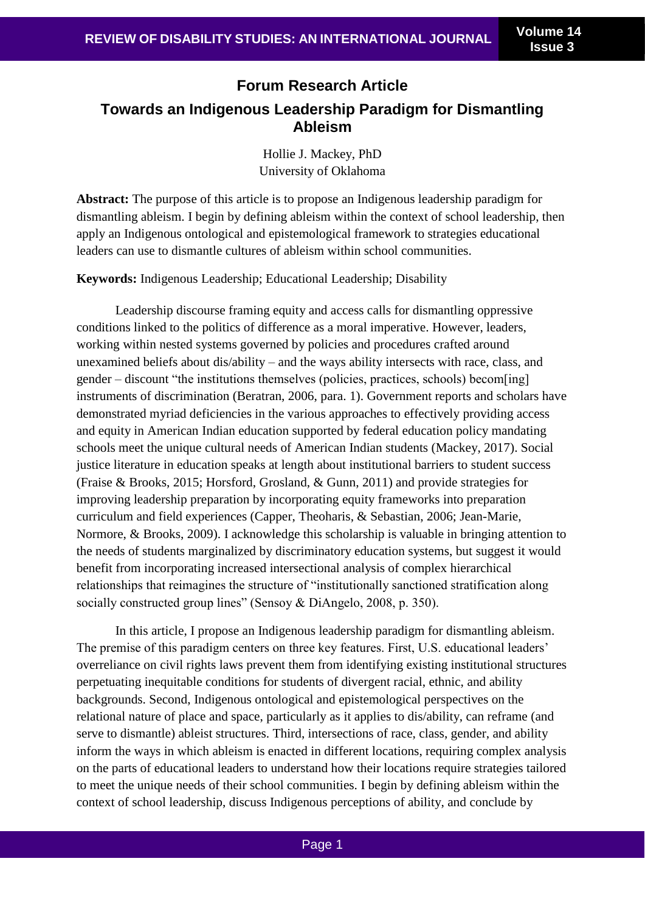# **Forum Research Article Towards an Indigenous Leadership Paradigm for Dismantling Ableism**

Hollie J. Mackey, PhD University of Oklahoma

**Abstract:** The purpose of this article is to propose an Indigenous leadership paradigm for dismantling ableism. I begin by defining ableism within the context of school leadership, then apply an Indigenous ontological and epistemological framework to strategies educational leaders can use to dismantle cultures of ableism within school communities.

**Keywords:** Indigenous Leadership; Educational Leadership; Disability

Leadership discourse framing equity and access calls for dismantling oppressive conditions linked to the politics of difference as a moral imperative. However, leaders, working within nested systems governed by policies and procedures crafted around unexamined beliefs about dis/ability – and the ways ability intersects with race, class, and gender – discount "the institutions themselves (policies, practices, schools) becom[ing] instruments of discrimination (Beratran, 2006, para. 1). Government reports and scholars have demonstrated myriad deficiencies in the various approaches to effectively providing access and equity in American Indian education supported by federal education policy mandating schools meet the unique cultural needs of American Indian students (Mackey, 2017). Social justice literature in education speaks at length about institutional barriers to student success (Fraise & Brooks, 2015; Horsford, Grosland, & Gunn, 2011) and provide strategies for improving leadership preparation by incorporating equity frameworks into preparation curriculum and field experiences (Capper, Theoharis, & Sebastian, 2006; Jean-Marie, Normore, & Brooks, 2009). I acknowledge this scholarship is valuable in bringing attention to the needs of students marginalized by discriminatory education systems, but suggest it would benefit from incorporating increased intersectional analysis of complex hierarchical relationships that reimagines the structure of "institutionally sanctioned stratification along socially constructed group lines" (Sensoy & DiAngelo, 2008, p. 350).

In this article, I propose an Indigenous leadership paradigm for dismantling ableism. The premise of this paradigm centers on three key features. First, U.S. educational leaders' overreliance on civil rights laws prevent them from identifying existing institutional structures perpetuating inequitable conditions for students of divergent racial, ethnic, and ability backgrounds. Second, Indigenous ontological and epistemological perspectives on the relational nature of place and space, particularly as it applies to dis/ability, can reframe (and serve to dismantle) ableist structures. Third, intersections of race, class, gender, and ability inform the ways in which ableism is enacted in different locations, requiring complex analysis on the parts of educational leaders to understand how their locations require strategies tailored to meet the unique needs of their school communities. I begin by defining ableism within the context of school leadership, discuss Indigenous perceptions of ability, and conclude by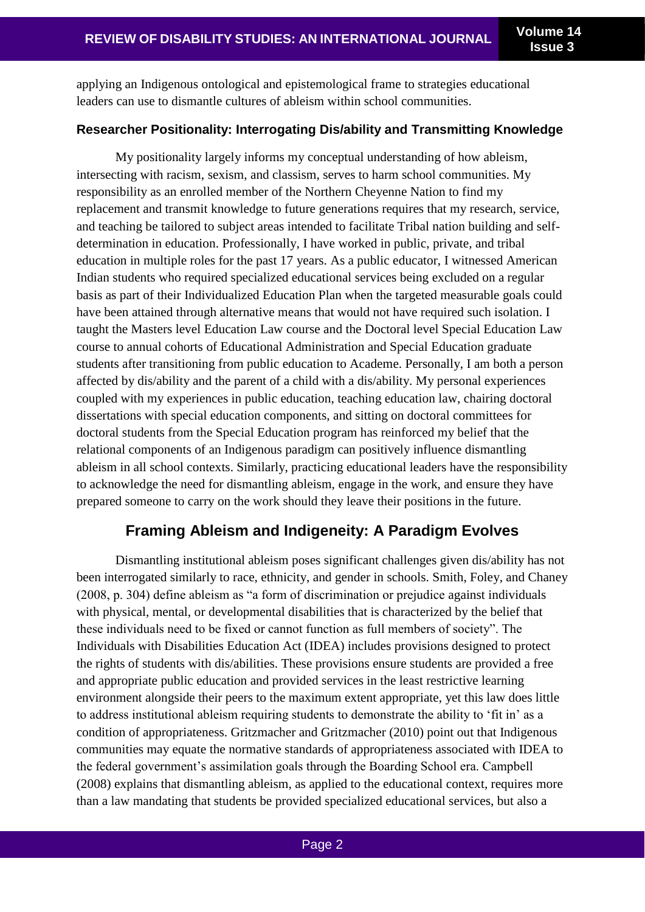applying an Indigenous ontological and epistemological frame to strategies educational leaders can use to dismantle cultures of ableism within school communities.

### **Researcher Positionality: Interrogating Dis/ability and Transmitting Knowledge**

My positionality largely informs my conceptual understanding of how ableism, intersecting with racism, sexism, and classism, serves to harm school communities. My responsibility as an enrolled member of the Northern Cheyenne Nation to find my replacement and transmit knowledge to future generations requires that my research, service, and teaching be tailored to subject areas intended to facilitate Tribal nation building and selfdetermination in education. Professionally, I have worked in public, private, and tribal education in multiple roles for the past 17 years. As a public educator, I witnessed American Indian students who required specialized educational services being excluded on a regular basis as part of their Individualized Education Plan when the targeted measurable goals could have been attained through alternative means that would not have required such isolation. I taught the Masters level Education Law course and the Doctoral level Special Education Law course to annual cohorts of Educational Administration and Special Education graduate students after transitioning from public education to Academe. Personally, I am both a person affected by dis/ability and the parent of a child with a dis/ability. My personal experiences coupled with my experiences in public education, teaching education law, chairing doctoral dissertations with special education components, and sitting on doctoral committees for doctoral students from the Special Education program has reinforced my belief that the relational components of an Indigenous paradigm can positively influence dismantling ableism in all school contexts. Similarly, practicing educational leaders have the responsibility to acknowledge the need for dismantling ableism, engage in the work, and ensure they have prepared someone to carry on the work should they leave their positions in the future.

# **Framing Ableism and Indigeneity: A Paradigm Evolves**

Dismantling institutional ableism poses significant challenges given dis/ability has not been interrogated similarly to race, ethnicity, and gender in schools. Smith, Foley, and Chaney (2008, p. 304) define ableism as "a form of discrimination or prejudice against individuals with physical, mental, or developmental disabilities that is characterized by the belief that these individuals need to be fixed or cannot function as full members of society". The Individuals with Disabilities Education Act (IDEA) includes provisions designed to protect the rights of students with dis/abilities. These provisions ensure students are provided a free and appropriate public education and provided services in the least restrictive learning environment alongside their peers to the maximum extent appropriate, yet this law does little to address institutional ableism requiring students to demonstrate the ability to 'fit in' as a condition of appropriateness. Gritzmacher and Gritzmacher (2010) point out that Indigenous communities may equate the normative standards of appropriateness associated with IDEA to the federal government's assimilation goals through the Boarding School era. Campbell (2008) explains that dismantling ableism, as applied to the educational context, requires more than a law mandating that students be provided specialized educational services, but also a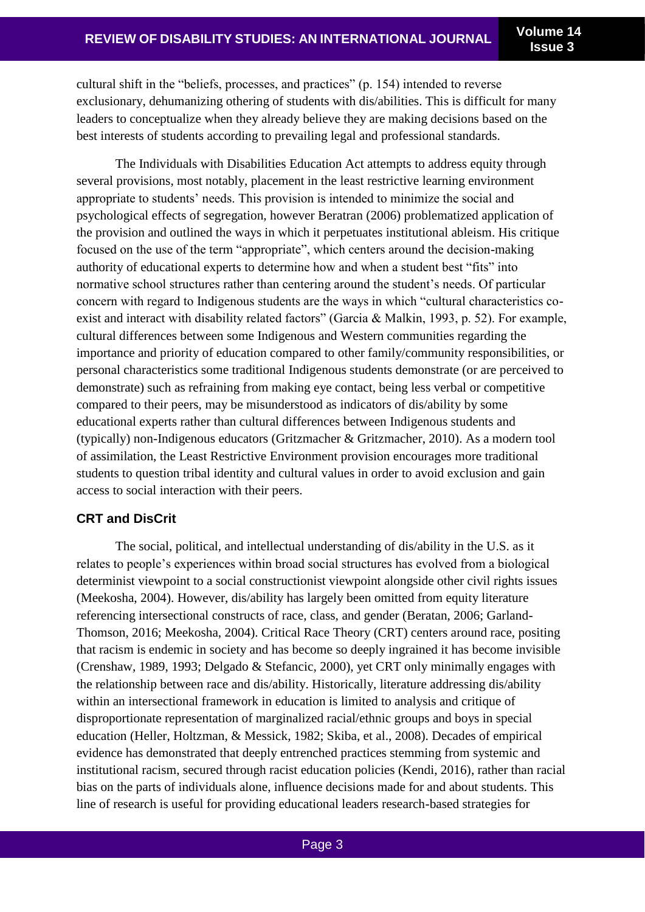cultural shift in the "beliefs, processes, and practices" (p. 154) intended to reverse exclusionary, dehumanizing othering of students with dis/abilities. This is difficult for many leaders to conceptualize when they already believe they are making decisions based on the best interests of students according to prevailing legal and professional standards.

The Individuals with Disabilities Education Act attempts to address equity through several provisions, most notably, placement in the least restrictive learning environment appropriate to students' needs. This provision is intended to minimize the social and psychological effects of segregation, however Beratran (2006) problematized application of the provision and outlined the ways in which it perpetuates institutional ableism. His critique focused on the use of the term "appropriate", which centers around the decision-making authority of educational experts to determine how and when a student best "fits" into normative school structures rather than centering around the student's needs. Of particular concern with regard to Indigenous students are the ways in which "cultural characteristics coexist and interact with disability related factors" (Garcia & Malkin, 1993, p. 52). For example, cultural differences between some Indigenous and Western communities regarding the importance and priority of education compared to other family/community responsibilities, or personal characteristics some traditional Indigenous students demonstrate (or are perceived to demonstrate) such as refraining from making eye contact, being less verbal or competitive compared to their peers, may be misunderstood as indicators of dis/ability by some educational experts rather than cultural differences between Indigenous students and (typically) non-Indigenous educators (Gritzmacher & Gritzmacher, 2010). As a modern tool of assimilation, the Least Restrictive Environment provision encourages more traditional students to question tribal identity and cultural values in order to avoid exclusion and gain access to social interaction with their peers.

# **CRT and DisCrit**

The social, political, and intellectual understanding of dis/ability in the U.S. as it relates to people's experiences within broad social structures has evolved from a biological determinist viewpoint to a social constructionist viewpoint alongside other civil rights issues (Meekosha, 2004). However, dis/ability has largely been omitted from equity literature referencing intersectional constructs of race, class, and gender (Beratan, 2006; Garland-Thomson, 2016; Meekosha, 2004). Critical Race Theory (CRT) centers around race, positing that racism is endemic in society and has become so deeply ingrained it has become invisible (Crenshaw, 1989, 1993; Delgado & Stefancic, 2000), yet CRT only minimally engages with the relationship between race and dis/ability. Historically, literature addressing dis/ability within an intersectional framework in education is limited to analysis and critique of disproportionate representation of marginalized racial/ethnic groups and boys in special education (Heller, Holtzman, & Messick, 1982; Skiba, et al., 2008). Decades of empirical evidence has demonstrated that deeply entrenched practices stemming from systemic and institutional racism, secured through racist education policies (Kendi, 2016), rather than racial bias on the parts of individuals alone, influence decisions made for and about students. This line of research is useful for providing educational leaders research-based strategies for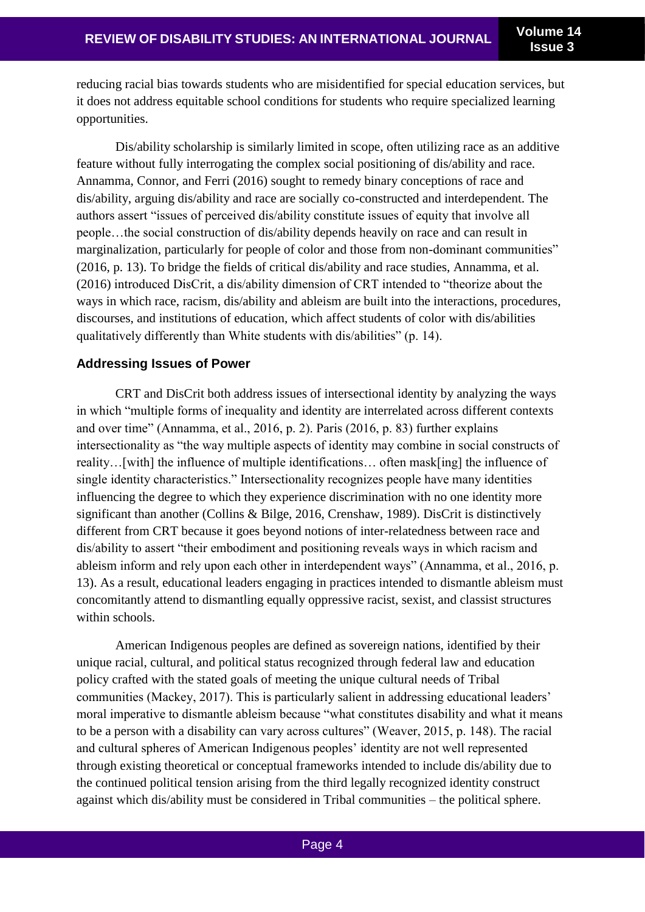reducing racial bias towards students who are misidentified for special education services, but it does not address equitable school conditions for students who require specialized learning opportunities.

Dis/ability scholarship is similarly limited in scope, often utilizing race as an additive feature without fully interrogating the complex social positioning of dis/ability and race. Annamma, Connor, and Ferri (2016) sought to remedy binary conceptions of race and dis/ability, arguing dis/ability and race are socially co-constructed and interdependent. The authors assert "issues of perceived dis/ability constitute issues of equity that involve all people…the social construction of dis/ability depends heavily on race and can result in marginalization, particularly for people of color and those from non-dominant communities" (2016, p. 13). To bridge the fields of critical dis/ability and race studies, Annamma, et al. (2016) introduced DisCrit, a dis/ability dimension of CRT intended to "theorize about the ways in which race, racism, dis/ability and ableism are built into the interactions, procedures, discourses, and institutions of education, which affect students of color with dis/abilities qualitatively differently than White students with dis/abilities" (p. 14).

### **Addressing Issues of Power**

CRT and DisCrit both address issues of intersectional identity by analyzing the ways in which "multiple forms of inequality and identity are interrelated across different contexts and over time" (Annamma, et al., 2016, p. 2). Paris (2016, p. 83) further explains intersectionality as "the way multiple aspects of identity may combine in social constructs of reality…[with] the influence of multiple identifications… often mask[ing] the influence of single identity characteristics." Intersectionality recognizes people have many identities influencing the degree to which they experience discrimination with no one identity more significant than another (Collins & Bilge, 2016, Crenshaw, 1989). DisCrit is distinctively different from CRT because it goes beyond notions of inter-relatedness between race and dis/ability to assert "their embodiment and positioning reveals ways in which racism and ableism inform and rely upon each other in interdependent ways" (Annamma, et al., 2016, p. 13). As a result, educational leaders engaging in practices intended to dismantle ableism must concomitantly attend to dismantling equally oppressive racist, sexist, and classist structures within schools.

American Indigenous peoples are defined as sovereign nations, identified by their unique racial, cultural, and political status recognized through federal law and education policy crafted with the stated goals of meeting the unique cultural needs of Tribal communities (Mackey, 2017). This is particularly salient in addressing educational leaders' moral imperative to dismantle ableism because "what constitutes disability and what it means to be a person with a disability can vary across cultures" (Weaver, 2015, p. 148). The racial and cultural spheres of American Indigenous peoples' identity are not well represented through existing theoretical or conceptual frameworks intended to include dis/ability due to the continued political tension arising from the third legally recognized identity construct against which dis/ability must be considered in Tribal communities – the political sphere.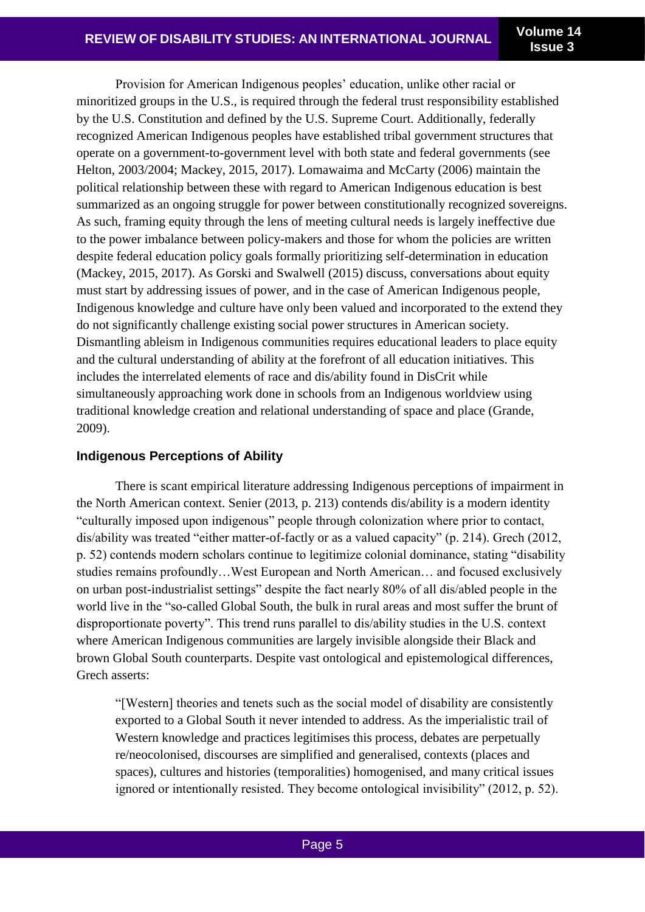**Issue 3**

Provision for American Indigenous peoples' education, unlike other racial or minoritized groups in the U.S., is required through the federal trust responsibility established by the U.S. Constitution and defined by the U.S. Supreme Court. Additionally, federally recognized American Indigenous peoples have established tribal government structures that operate on a government-to-government level with both state and federal governments (see Helton, 2003/2004; Mackey, 2015, 2017). Lomawaima and McCarty (2006) maintain the political relationship between these with regard to American Indigenous education is best summarized as an ongoing struggle for power between constitutionally recognized sovereigns. As such, framing equity through the lens of meeting cultural needs is largely ineffective due to the power imbalance between policy-makers and those for whom the policies are written despite federal education policy goals formally prioritizing self-determination in education (Mackey, 2015, 2017). As Gorski and Swalwell (2015) discuss, conversations about equity must start by addressing issues of power, and in the case of American Indigenous people, Indigenous knowledge and culture have only been valued and incorporated to the extend they do not significantly challenge existing social power structures in American society. Dismantling ableism in Indigenous communities requires educational leaders to place equity and the cultural understanding of ability at the forefront of all education initiatives. This includes the interrelated elements of race and dis/ability found in DisCrit while simultaneously approaching work done in schools from an Indigenous worldview using traditional knowledge creation and relational understanding of space and place (Grande, 2009).

## **Indigenous Perceptions of Ability**

There is scant empirical literature addressing Indigenous perceptions of impairment in the North American context. Senier (2013, p. 213) contends dis/ability is a modern identity "culturally imposed upon indigenous" people through colonization where prior to contact, dis/ability was treated "either matter-of-factly or as a valued capacity" (p. 214). Grech (2012, p. 52) contends modern scholars continue to legitimize colonial dominance, stating "disability studies remains profoundly…West European and North American… and focused exclusively on urban post-industrialist settings" despite the fact nearly 80% of all dis/abled people in the world live in the "so-called Global South, the bulk in rural areas and most suffer the brunt of disproportionate poverty". This trend runs parallel to dis/ability studies in the U.S. context where American Indigenous communities are largely invisible alongside their Black and brown Global South counterparts. Despite vast ontological and epistemological differences, Grech asserts:

"[Western] theories and tenets such as the social model of disability are consistently exported to a Global South it never intended to address. As the imperialistic trail of Western knowledge and practices legitimises this process, debates are perpetually re/neocolonised, discourses are simplified and generalised, contexts (places and spaces), cultures and histories (temporalities) homogenised, and many critical issues ignored or intentionally resisted. They become ontological invisibility" (2012, p. 52).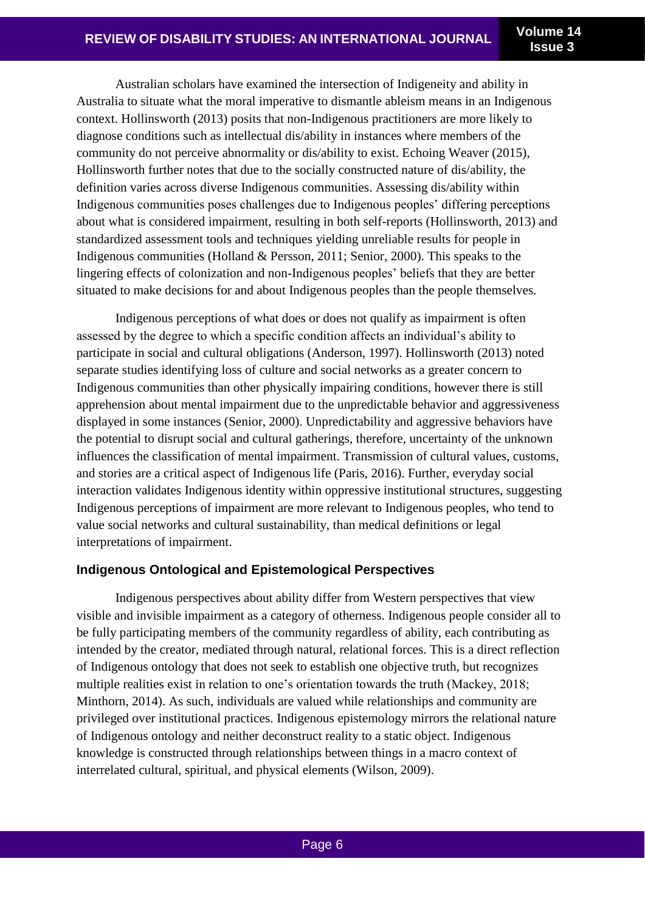**Issue 3**

Australian scholars have examined the intersection of Indigeneity and ability in Australia to situate what the moral imperative to dismantle ableism means in an Indigenous context. Hollinsworth (2013) posits that non-Indigenous practitioners are more likely to diagnose conditions such as intellectual dis/ability in instances where members of the community do not perceive abnormality or dis/ability to exist. Echoing Weaver (2015), Hollinsworth further notes that due to the socially constructed nature of dis/ability, the definition varies across diverse Indigenous communities. Assessing dis/ability within Indigenous communities poses challenges due to Indigenous peoples' differing perceptions about what is considered impairment, resulting in both self-reports (Hollinsworth, 2013) and standardized assessment tools and techniques yielding unreliable results for people in Indigenous communities (Holland & Persson, 2011; Senior, 2000). This speaks to the lingering effects of colonization and non-Indigenous peoples' beliefs that they are better situated to make decisions for and about Indigenous peoples than the people themselves.

Indigenous perceptions of what does or does not qualify as impairment is often assessed by the degree to which a specific condition affects an individual's ability to participate in social and cultural obligations (Anderson, 1997). Hollinsworth (2013) noted separate studies identifying loss of culture and social networks as a greater concern to Indigenous communities than other physically impairing conditions, however there is still apprehension about mental impairment due to the unpredictable behavior and aggressiveness displayed in some instances (Senior, 2000). Unpredictability and aggressive behaviors have the potential to disrupt social and cultural gatherings, therefore, uncertainty of the unknown influences the classification of mental impairment. Transmission of cultural values, customs, and stories are a critical aspect of Indigenous life (Paris, 2016). Further, everyday social interaction validates Indigenous identity within oppressive institutional structures, suggesting Indigenous perceptions of impairment are more relevant to Indigenous peoples, who tend to value social networks and cultural sustainability, than medical definitions or legal interpretations of impairment.

## **Indigenous Ontological and Epistemological Perspectives**

Indigenous perspectives about ability differ from Western perspectives that view visible and invisible impairment as a category of otherness. Indigenous people consider all to be fully participating members of the community regardless of ability, each contributing as intended by the creator, mediated through natural, relational forces. This is a direct reflection of Indigenous ontology that does not seek to establish one objective truth, but recognizes multiple realities exist in relation to one's orientation towards the truth (Mackey, 2018; Minthorn, 2014). As such, individuals are valued while relationships and community are privileged over institutional practices. Indigenous epistemology mirrors the relational nature of Indigenous ontology and neither deconstruct reality to a static object. Indigenous knowledge is constructed through relationships between things in a macro context of interrelated cultural, spiritual, and physical elements (Wilson, 2009).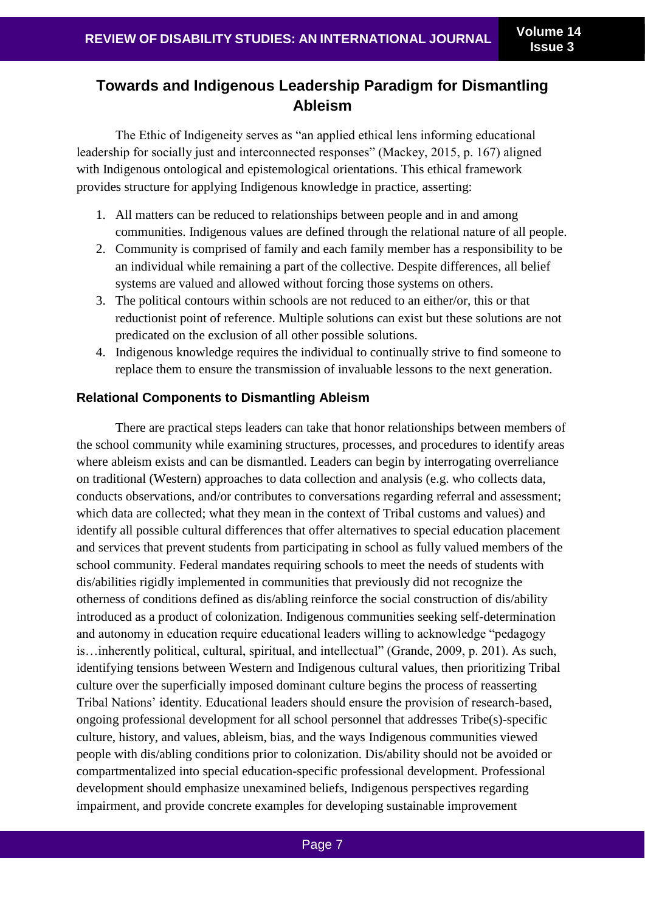# **Towards and Indigenous Leadership Paradigm for Dismantling Ableism**

The Ethic of Indigeneity serves as "an applied ethical lens informing educational leadership for socially just and interconnected responses" (Mackey, 2015, p. 167) aligned with Indigenous ontological and epistemological orientations. This ethical framework provides structure for applying Indigenous knowledge in practice, asserting:

- 1. All matters can be reduced to relationships between people and in and among communities. Indigenous values are defined through the relational nature of all people.
- 2. Community is comprised of family and each family member has a responsibility to be an individual while remaining a part of the collective. Despite differences, all belief systems are valued and allowed without forcing those systems on others.
- 3. The political contours within schools are not reduced to an either/or, this or that reductionist point of reference. Multiple solutions can exist but these solutions are not predicated on the exclusion of all other possible solutions.
- 4. Indigenous knowledge requires the individual to continually strive to find someone to replace them to ensure the transmission of invaluable lessons to the next generation.

## **Relational Components to Dismantling Ableism**

There are practical steps leaders can take that honor relationships between members of the school community while examining structures, processes, and procedures to identify areas where ableism exists and can be dismantled. Leaders can begin by interrogating overreliance on traditional (Western) approaches to data collection and analysis (e.g. who collects data, conducts observations, and/or contributes to conversations regarding referral and assessment; which data are collected; what they mean in the context of Tribal customs and values) and identify all possible cultural differences that offer alternatives to special education placement and services that prevent students from participating in school as fully valued members of the school community. Federal mandates requiring schools to meet the needs of students with dis/abilities rigidly implemented in communities that previously did not recognize the otherness of conditions defined as dis/abling reinforce the social construction of dis/ability introduced as a product of colonization. Indigenous communities seeking self-determination and autonomy in education require educational leaders willing to acknowledge "pedagogy is…inherently political, cultural, spiritual, and intellectual" (Grande, 2009, p. 201). As such, identifying tensions between Western and Indigenous cultural values, then prioritizing Tribal culture over the superficially imposed dominant culture begins the process of reasserting Tribal Nations' identity. Educational leaders should ensure the provision of research-based, ongoing professional development for all school personnel that addresses Tribe(s)-specific culture, history, and values, ableism, bias, and the ways Indigenous communities viewed people with dis/abling conditions prior to colonization. Dis/ability should not be avoided or compartmentalized into special education-specific professional development. Professional development should emphasize unexamined beliefs, Indigenous perspectives regarding impairment, and provide concrete examples for developing sustainable improvement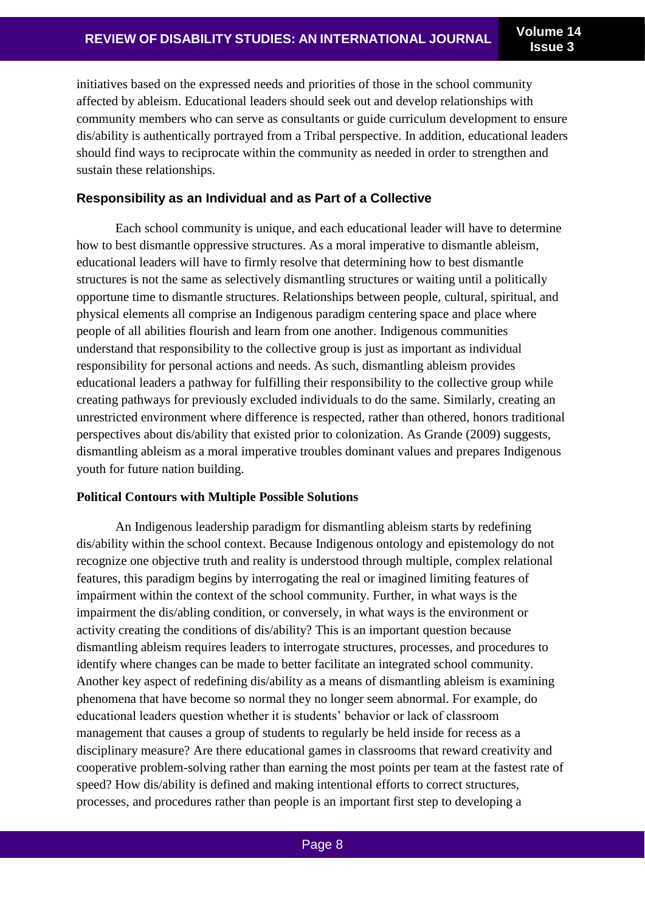initiatives based on the expressed needs and priorities of those in the school community affected by ableism. Educational leaders should seek out and develop relationships with community members who can serve as consultants or guide curriculum development to ensure dis/ability is authentically portrayed from a Tribal perspective. In addition, educational leaders should find ways to reciprocate within the community as needed in order to strengthen and sustain these relationships.

### **Responsibility as an Individual and as Part of a Collective**

Each school community is unique, and each educational leader will have to determine how to best dismantle oppressive structures. As a moral imperative to dismantle ableism, educational leaders will have to firmly resolve that determining how to best dismantle structures is not the same as selectively dismantling structures or waiting until a politically opportune time to dismantle structures. Relationships between people, cultural, spiritual, and physical elements all comprise an Indigenous paradigm centering space and place where people of all abilities flourish and learn from one another. Indigenous communities understand that responsibility to the collective group is just as important as individual responsibility for personal actions and needs. As such, dismantling ableism provides educational leaders a pathway for fulfilling their responsibility to the collective group while creating pathways for previously excluded individuals to do the same. Similarly, creating an unrestricted environment where difference is respected, rather than othered, honors traditional perspectives about dis/ability that existed prior to colonization. As Grande (2009) suggests, dismantling ableism as a moral imperative troubles dominant values and prepares Indigenous youth for future nation building.

#### **Political Contours with Multiple Possible Solutions**

An Indigenous leadership paradigm for dismantling ableism starts by redefining dis/ability within the school context. Because Indigenous ontology and epistemology do not recognize one objective truth and reality is understood through multiple, complex relational features, this paradigm begins by interrogating the real or imagined limiting features of impairment within the context of the school community. Further, in what ways is the impairment the dis/abling condition, or conversely, in what ways is the environment or activity creating the conditions of dis/ability? This is an important question because dismantling ableism requires leaders to interrogate structures, processes, and procedures to identify where changes can be made to better facilitate an integrated school community. Another key aspect of redefining dis/ability as a means of dismantling ableism is examining phenomena that have become so normal they no longer seem abnormal. For example, do educational leaders question whether it is students' behavior or lack of classroom management that causes a group of students to regularly be held inside for recess as a disciplinary measure? Are there educational games in classrooms that reward creativity and cooperative problem-solving rather than earning the most points per team at the fastest rate of speed? How dis/ability is defined and making intentional efforts to correct structures, processes, and procedures rather than people is an important first step to developing a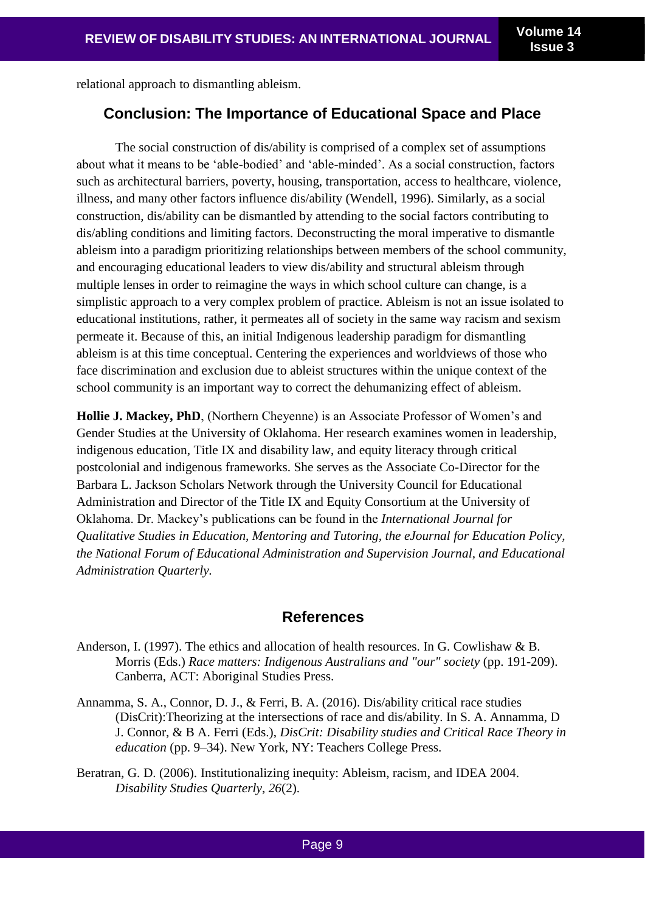relational approach to dismantling ableism.

## **Conclusion: The Importance of Educational Space and Place**

The social construction of dis/ability is comprised of a complex set of assumptions about what it means to be 'able-bodied' and 'able-minded'. As a social construction, factors such as architectural barriers, poverty, housing, transportation, access to healthcare, violence, illness, and many other factors influence dis/ability (Wendell, 1996). Similarly, as a social construction, dis/ability can be dismantled by attending to the social factors contributing to dis/abling conditions and limiting factors. Deconstructing the moral imperative to dismantle ableism into a paradigm prioritizing relationships between members of the school community, and encouraging educational leaders to view dis/ability and structural ableism through multiple lenses in order to reimagine the ways in which school culture can change, is a simplistic approach to a very complex problem of practice. Ableism is not an issue isolated to educational institutions, rather, it permeates all of society in the same way racism and sexism permeate it. Because of this, an initial Indigenous leadership paradigm for dismantling ableism is at this time conceptual. Centering the experiences and worldviews of those who face discrimination and exclusion due to ableist structures within the unique context of the school community is an important way to correct the dehumanizing effect of ableism.

**Hollie J. Mackey, PhD**, (Northern Cheyenne) is an Associate Professor of Women's and Gender Studies at the University of Oklahoma. Her research examines women in leadership, indigenous education, Title IX and disability law, and equity literacy through critical postcolonial and indigenous frameworks. She serves as the Associate Co-Director for the Barbara L. Jackson Scholars Network through the University Council for Educational Administration and Director of the Title IX and Equity Consortium at the University of Oklahoma. Dr. Mackey's publications can be found in the *International Journal for Qualitative Studies in Education, Mentoring and Tutoring, the eJournal for Education Policy, the National Forum of Educational Administration and Supervision Journal, and Educational Administration Quarterly.*

## **References**

- Anderson, I. (1997). The ethics and allocation of health resources. In G. Cowlishaw & B. Morris (Eds.) *Race matters: Indigenous Australians and "our" society* (pp. 191-209). Canberra, ACT: Aboriginal Studies Press.
- Annamma, S. A., Connor, D. J., & Ferri, B. A. (2016). Dis/ability critical race studies (DisCrit):Theorizing at the intersections of race and dis/ability. In S. A. Annamma, D J. Connor, & B A. Ferri (Eds.), *DisCrit: Disability studies and Critical Race Theory in education* (pp. 9–34). New York, NY: Teachers College Press.
- Beratran, G. D. (2006). Institutionalizing inequity: Ableism, racism, and IDEA 2004. *Disability Studies Quarterly*, *26*(2).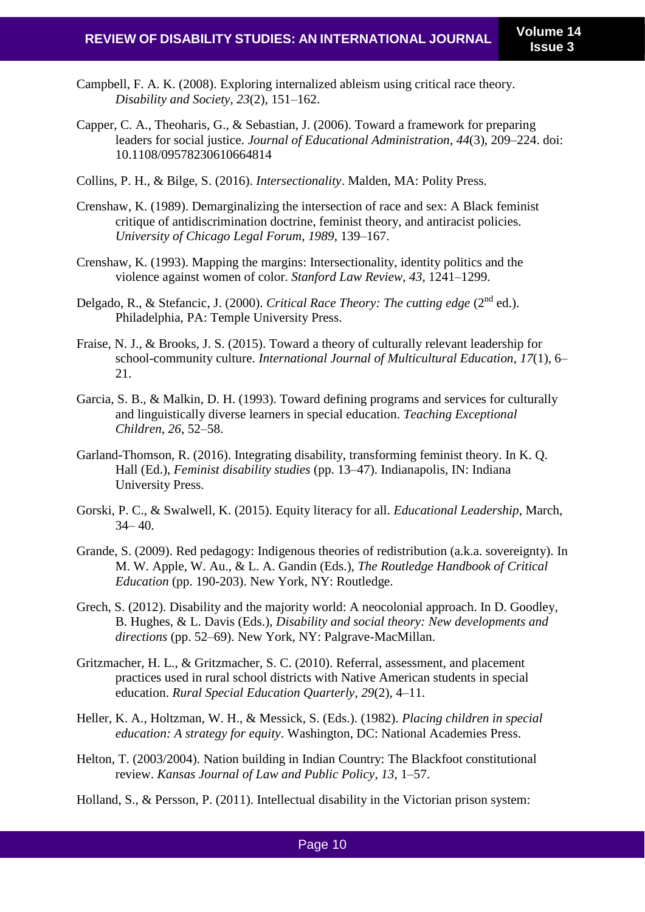- Campbell, F. A. K. (2008). Exploring internalized ableism using critical race theory. *Disability and Society*, *23*(2), 151–162.
- Capper, C. A., Theoharis, G., & Sebastian, J. (2006). Toward a framework for preparing leaders for social justice. *Journal of Educational Administration*, *44*(3), 209–224. doi: 10.1108/09578230610664814
- Collins, P. H., & Bilge, S. (2016). *Intersectionality*. Malden, MA: Polity Press.
- Crenshaw, K. (1989). Demarginalizing the intersection of race and sex: A Black feminist critique of antidiscrimination doctrine, feminist theory, and antiracist policies. *University of Chicago Legal Forum*, *1989*, 139–167.
- Crenshaw, K. (1993). Mapping the margins: Intersectionality, identity politics and the violence against women of color. *Stanford Law Review*, *43*, 1241–1299.
- Delgado, R., & Stefancic, J. (2000). *Critical Race Theory: The cutting edge* (2nd ed.). Philadelphia, PA: Temple University Press.
- Fraise, N. J., & Brooks, J. S. (2015). Toward a theory of culturally relevant leadership for school-community culture. *International Journal of Multicultural Education*, *17*(1), 6– 21.
- Garcia, S. B., & Malkin, D. H. (1993). Toward defining programs and services for culturally and linguistically diverse learners in special education. *Teaching Exceptional Children*, *26*, 52–58.
- Garland-Thomson, R. (2016). Integrating disability, transforming feminist theory. In K. Q. Hall (Ed.), *Feminist disability studies* (pp. 13–47). Indianapolis, IN: Indiana University Press.
- Gorski, P. C., & Swalwell, K. (2015). Equity literacy for all. *Educational Leadership*, March,  $34 - 40.$
- Grande, S. (2009). Red pedagogy: Indigenous theories of redistribution (a.k.a. sovereignty). In M. W. Apple, W. Au., & L. A. Gandin (Eds.), *The Routledge Handbook of Critical Education* (pp. 190-203). New York, NY: Routledge.
- Grech, S. (2012). Disability and the majority world: A neocolonial approach. In D. Goodley, B. Hughes, & L. Davis (Eds.), *Disability and social theory: New developments and directions* (pp. 52–69). New York, NY: Palgrave-MacMillan.
- Gritzmacher, H. L., & Gritzmacher, S. C. (2010). Referral, assessment, and placement practices used in rural school districts with Native American students in special education. *Rural Special Education Quarterly*, *29*(2), 4–11.
- Heller, K. A., Holtzman, W. H., & Messick, S. (Eds.). (1982). *Placing children in special education: A strategy for equity*. Washington, DC: National Academies Press.
- Helton, T. (2003/2004). Nation building in Indian Country: The Blackfoot constitutional review. *Kansas Journal of Law and Public Policy*, *13*, 1–57.
- Holland, S., & Persson, P. (2011). Intellectual disability in the Victorian prison system: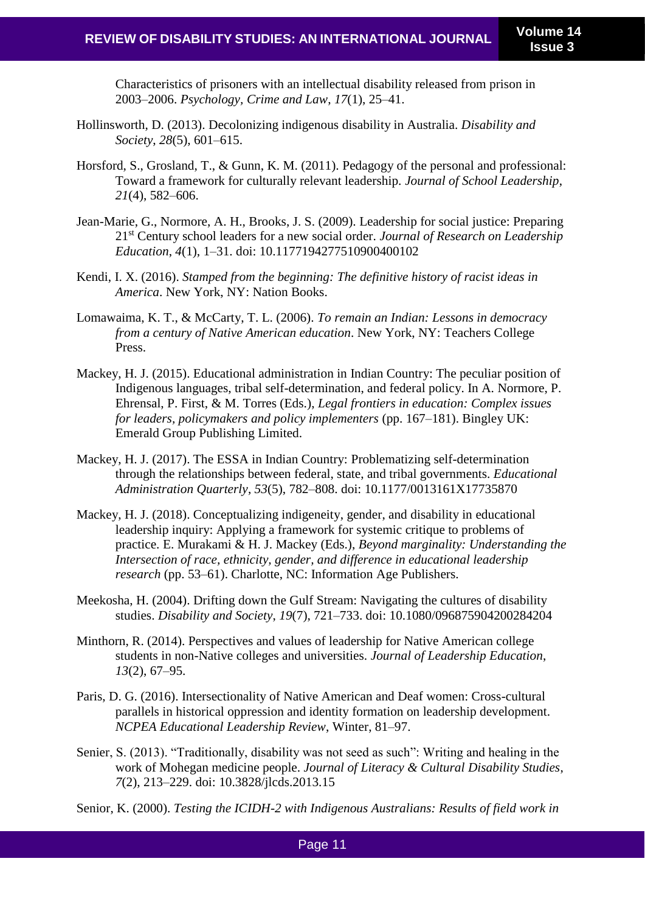Characteristics of prisoners with an intellectual disability released from prison in 2003–2006. *Psychology, Crime and Law*, *17*(1), 25–41.

- Hollinsworth, D. (2013). Decolonizing indigenous disability in Australia. *Disability and Society*, *28*(5), 601–615.
- Horsford, S., Grosland, T., & Gunn, K. M. (2011). Pedagogy of the personal and professional: Toward a framework for culturally relevant leadership. *Journal of School Leadership*, *21*(4), 582–606.
- Jean-Marie, G., Normore, A. H., Brooks, J. S. (2009). Leadership for social justice: Preparing 21st Century school leaders for a new social order. *Journal of Research on Leadership Education*, *4*(1), 1–31. doi: 10.1177194277510900400102
- Kendi, I. X. (2016). *Stamped from the beginning: The definitive history of racist ideas in America*. New York, NY: Nation Books.
- Lomawaima, K. T., & McCarty, T. L. (2006). *To remain an Indian: Lessons in democracy from a century of Native American education*. New York, NY: Teachers College Press.
- Mackey, H. J. (2015). Educational administration in Indian Country: The peculiar position of Indigenous languages, tribal self-determination, and federal policy. In A. Normore, P. Ehrensal, P. First, & M. Torres (Eds.), *Legal frontiers in education: Complex issues for leaders, policymakers and policy implementers* (pp. 167–181). Bingley UK: Emerald Group Publishing Limited.
- Mackey, H. J. (2017). The ESSA in Indian Country: Problematizing self-determination through the relationships between federal, state, and tribal governments. *Educational Administration Quarterly*, *53*(5), 782–808. doi: 10.1177/0013161X17735870
- Mackey, H. J. (2018). Conceptualizing indigeneity, gender, and disability in educational leadership inquiry: Applying a framework for systemic critique to problems of practice. E. Murakami & H. J. Mackey (Eds.), *Beyond marginality: Understanding the Intersection of race, ethnicity, gender, and difference in educational leadership research* (pp. 53–61). Charlotte, NC: Information Age Publishers.
- Meekosha, H. (2004). Drifting down the Gulf Stream: Navigating the cultures of disability studies. *Disability and Society*, *19*(7), 721–733. doi: 10.1080/096875904200284204
- Minthorn, R. (2014). Perspectives and values of leadership for Native American college students in non-Native colleges and universities. *Journal of Leadership Education*, *13*(2), 67–95.
- Paris, D. G. (2016). Intersectionality of Native American and Deaf women: Cross-cultural parallels in historical oppression and identity formation on leadership development. *NCPEA Educational Leadership Review*, Winter, 81–97.
- Senier, S. (2013). "Traditionally, disability was not seed as such": Writing and healing in the work of Mohegan medicine people. *Journal of Literacy & Cultural Disability Studies*, *7*(2), 213–229. doi: 10.3828/jlcds.2013.15
- Senior, K. (2000). *Testing the ICIDH-2 with Indigenous Australians: Results of field work in*